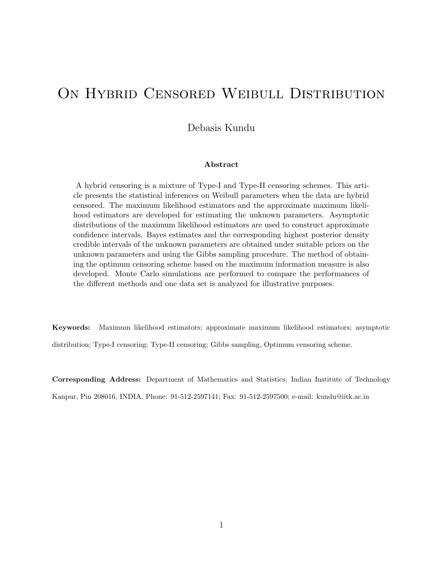# ON HYBRID CENSORED WEIBULL DISTRIBUTION

Debasis Kundu

#### Abstract

A hybrid censoring is a mixture of Type-I and Type-II censoring schemes. This article presents the statistical inferences on Weibull parameters when the data are hybrid censored. The maximum likelihood estimators and the approximate maximum likelihood estimators are developed for estimating the unknown parameters. Asymptotic distributions of the maximum likelihood estimators are used to construct approximate confidence intervals. Bayes estimates and the corresponding highest posterior density credible intervals of the unknown parameters are obtained under suitable priors on the unknown parameters and using the Gibbs sampling procedure. The method of obtaining the optimum censoring scheme based on the maximum information measure is also developed. Monte Carlo simulations are performed to compare the performances of the different methods and one data set is analyzed for illustrative purposes.

Keywords: Maximum likelihood estimators; approximate maximum likelihood estimators; asymptotic distribution; Type-I censoring; Type-II censoring; Gibbs sampling, Optimum censoring scheme.

Corresponding Address: Department of Mathematics and Statistics, Indian Institute of Technology Kanpur, Pin 208016, INDIA. Phone: 91-512-2597141; Fax: 91-512-2597500; e-mail: kundu@iitk.ac.in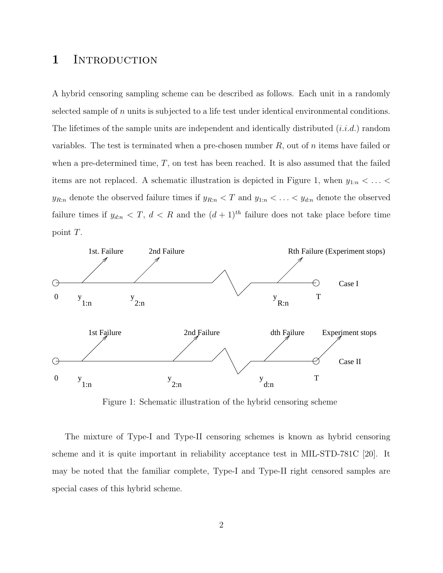#### 1 INTRODUCTION

A hybrid censoring sampling scheme can be described as follows. Each unit in a randomly selected sample of  $n$  units is subjected to a life test under identical environmental conditions. The lifetimes of the sample units are independent and identically distributed  $(i.i.d.)$  random variables. The test is terminated when a pre-chosen number  $R$ , out of n items have failed or when a pre-determined time,  $T$ , on test has been reached. It is also assumed that the failed items are not replaced. A schematic illustration is depicted in Figure 1, when  $y_{1:n} < \ldots <$  $y_{R:n}$  denote the observed failure times if  $y_{R:n} < T$  and  $y_{1:n} < \ldots < y_{d:n}$  denote the observed failure times if  $y_{d:n} < T$ ,  $d < R$  and the  $(d+1)^{th}$  failure does not take place before time point T.



Figure 1: Schematic illustration of the hybrid censoring scheme

The mixture of Type-I and Type-II censoring schemes is known as hybrid censoring scheme and it is quite important in reliability acceptance test in MIL-STD-781C [20]. It may be noted that the familiar complete, Type-I and Type-II right censored samples are special cases of this hybrid scheme.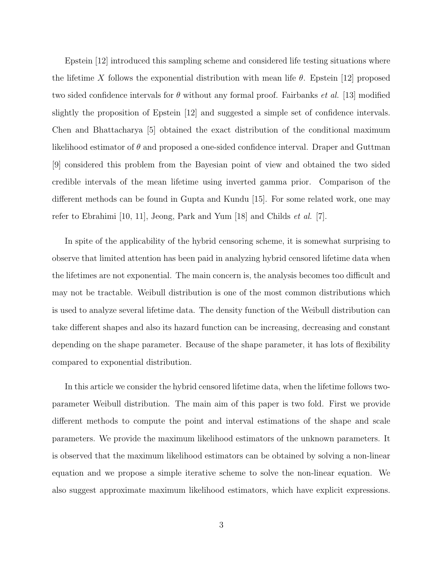Epstein [12] introduced this sampling scheme and considered life testing situations where the lifetime X follows the exponential distribution with mean life  $\theta$ . Epstein [12] proposed two sided confidence intervals for  $\theta$  without any formal proof. Fairbanks *et al.* [13] modified slightly the proposition of Epstein [12] and suggested a simple set of confidence intervals. Chen and Bhattacharya [5] obtained the exact distribution of the conditional maximum likelihood estimator of  $\theta$  and proposed a one-sided confidence interval. Draper and Guttman [9] considered this problem from the Bayesian point of view and obtained the two sided credible intervals of the mean lifetime using inverted gamma prior. Comparison of the different methods can be found in Gupta and Kundu [15]. For some related work, one may refer to Ebrahimi [10, 11], Jeong, Park and Yum [18] and Childs *et al.* [7].

In spite of the applicability of the hybrid censoring scheme, it is somewhat surprising to observe that limited attention has been paid in analyzing hybrid censored lifetime data when the lifetimes are not exponential. The main concern is, the analysis becomes too difficult and may not be tractable. Weibull distribution is one of the most common distributions which is used to analyze several lifetime data. The density function of the Weibull distribution can take different shapes and also its hazard function can be increasing, decreasing and constant depending on the shape parameter. Because of the shape parameter, it has lots of flexibility compared to exponential distribution.

In this article we consider the hybrid censored lifetime data, when the lifetime follows twoparameter Weibull distribution. The main aim of this paper is two fold. First we provide different methods to compute the point and interval estimations of the shape and scale parameters. We provide the maximum likelihood estimators of the unknown parameters. It is observed that the maximum likelihood estimators can be obtained by solving a non-linear equation and we propose a simple iterative scheme to solve the non-linear equation. We also suggest approximate maximum likelihood estimators, which have explicit expressions.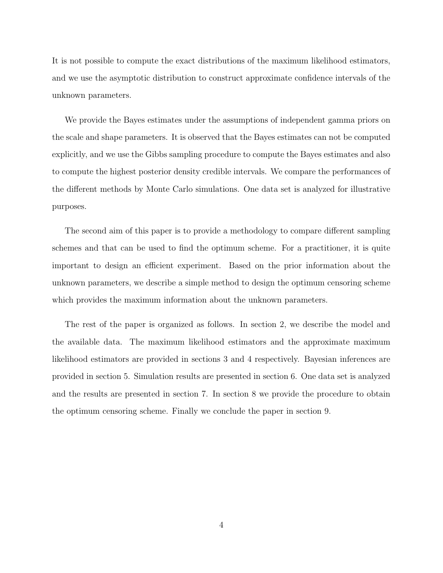It is not possible to compute the exact distributions of the maximum likelihood estimators, and we use the asymptotic distribution to construct approximate confidence intervals of the unknown parameters.

We provide the Bayes estimates under the assumptions of independent gamma priors on the scale and shape parameters. It is observed that the Bayes estimates can not be computed explicitly, and we use the Gibbs sampling procedure to compute the Bayes estimates and also to compute the highest posterior density credible intervals. We compare the performances of the different methods by Monte Carlo simulations. One data set is analyzed for illustrative purposes.

The second aim of this paper is to provide a methodology to compare different sampling schemes and that can be used to find the optimum scheme. For a practitioner, it is quite important to design an efficient experiment. Based on the prior information about the unknown parameters, we describe a simple method to design the optimum censoring scheme which provides the maximum information about the unknown parameters.

The rest of the paper is organized as follows. In section 2, we describe the model and the available data. The maximum likelihood estimators and the approximate maximum likelihood estimators are provided in sections 3 and 4 respectively. Bayesian inferences are provided in section 5. Simulation results are presented in section 6. One data set is analyzed and the results are presented in section 7. In section 8 we provide the procedure to obtain the optimum censoring scheme. Finally we conclude the paper in section 9.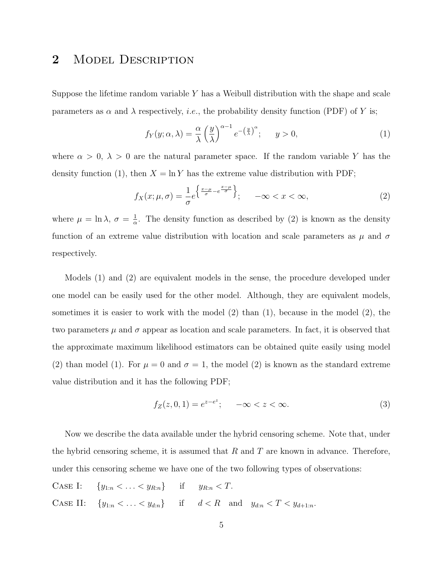#### 2 MODEL DESCRIPTION

Suppose the lifetime random variable  $Y$  has a Weibull distribution with the shape and scale parameters as  $\alpha$  and  $\lambda$  respectively, *i.e.*, the probability density function (PDF) of Y is;

$$
f_Y(y; \alpha, \lambda) = \frac{\alpha}{\lambda} \left(\frac{y}{\lambda}\right)^{\alpha - 1} e^{-\left(\frac{y}{\lambda}\right)^{\alpha}}; \quad y > 0,
$$
 (1)

where  $\alpha > 0$ ,  $\lambda > 0$  are the natural parameter space. If the random variable Y has the density function (1), then  $X = \ln Y$  has the extreme value distribution with PDF;

$$
f_X(x; \mu, \sigma) = \frac{1}{\sigma} e^{\left\{ \frac{x-\mu}{\sigma} - e^{\frac{x-\mu}{\sigma}} \right\}}; \quad -\infty < x < \infty,
$$
\n<sup>(2)</sup>

where  $\mu = \ln \lambda$ ,  $\sigma = \frac{1}{\alpha}$  $\frac{1}{\alpha}$ . The density function as described by (2) is known as the density function of an extreme value distribution with location and scale parameters as  $\mu$  and  $\sigma$ respectively.

Models (1) and (2) are equivalent models in the sense, the procedure developed under one model can be easily used for the other model. Although, they are equivalent models, sometimes it is easier to work with the model  $(2)$  than  $(1)$ , because in the model  $(2)$ , the two parameters  $\mu$  and  $\sigma$  appear as location and scale parameters. In fact, it is observed that the approximate maximum likelihood estimators can be obtained quite easily using model (2) than model (1). For  $\mu = 0$  and  $\sigma = 1$ , the model (2) is known as the standard extreme value distribution and it has the following PDF;

$$
f_Z(z, 0, 1) = e^{z - e^z}; \quad -\infty < z < \infty. \tag{3}
$$

Now we describe the data available under the hybrid censoring scheme. Note that, under the hybrid censoring scheme, it is assumed that  $R$  and  $T$  are known in advance. Therefore, under this censoring scheme we have one of the two following types of observations:

CASE I:  $\{y_{1:n} < ... < y_{R:n}\}$  if  $y_{R:n} < T$ . CASE II:  $\{y_{1:n} < \ldots < y_{d:n}\}$  if  $d < R$  and  $y_{d:n} < T < y_{d+1:n}$ .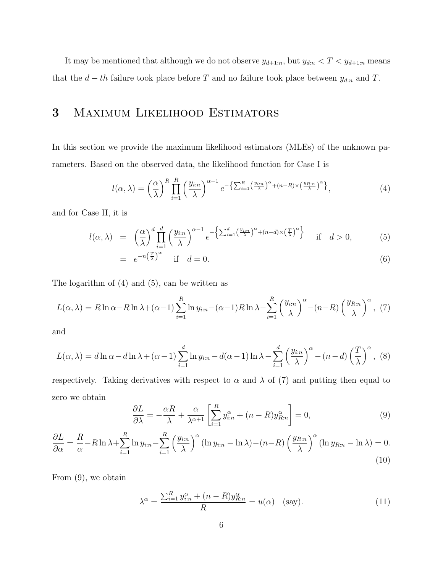It may be mentioned that although we do not observe  $y_{d+1:n}$ , but  $y_{d:n} < T < y_{d+1:n}$  means that the  $d - th$  failure took place before T and no failure took place between  $y_{d:n}$  and T.

#### 3 Maximum Likelihood Estimators

In this section we provide the maximum likelihood estimators (MLEs) of the unknown parameters. Based on the observed data, the likelihood function for Case I is

$$
l(\alpha,\lambda) = \left(\frac{\alpha}{\lambda}\right)^R \prod_{i=1}^R \left(\frac{y_{i:n}}{\lambda}\right)^{\alpha-1} e^{-\left\{\sum_{i=1}^R \left(\frac{y_{i:n}}{\lambda}\right)^\alpha + (n-R)\times \left(\frac{y_{i:n}}{\lambda}\right)^\alpha\right\}},\tag{4}
$$

and for Case II, it is

$$
l(\alpha,\lambda) = \left(\frac{\alpha}{\lambda}\right)^d \prod_{i=1}^d \left(\frac{y_{i:n}}{\lambda}\right)^{\alpha-1} e^{-\left\{\sum_{i=1}^d \left(\frac{y_{i:n}}{\lambda}\right)^\alpha + (n-d)\times \left(\frac{T}{\lambda}\right)^\alpha\right\}} \quad \text{if} \quad d > 0,
$$
 (5)

$$
= e^{-n\left(\frac{T}{\lambda}\right)^{\alpha}} \quad \text{if} \quad d = 0. \tag{6}
$$

The logarithm of (4) and (5), can be written as

$$
L(\alpha,\lambda) = R \ln \alpha - R \ln \lambda + (\alpha - 1) \sum_{i=1}^{R} \ln y_{i:n} - (\alpha - 1) R \ln \lambda - \sum_{i=1}^{R} \left(\frac{y_{i:n}}{\lambda}\right)^{\alpha} - (n - R) \left(\frac{y_{R:n}}{\lambda}\right)^{\alpha}, (7)
$$

and

$$
L(\alpha, \lambda) = d \ln \alpha - d \ln \lambda + (\alpha - 1) \sum_{i=1}^{d} \ln y_{i:n} - d(\alpha - 1) \ln \lambda - \sum_{i=1}^{d} \left(\frac{y_{i:n}}{\lambda}\right)^{\alpha} - (n - d) \left(\frac{T}{\lambda}\right)^{\alpha},
$$
 (8)

respectively. Taking derivatives with respect to  $\alpha$  and  $\lambda$  of (7) and putting then equal to zero we obtain

$$
\frac{\partial L}{\partial \lambda} = -\frac{\alpha R}{\lambda} + \frac{\alpha}{\lambda^{\alpha+1}} \left[ \sum_{i=1}^{R} y_{i:n}^{\alpha} + (n - R) y_{R:n}^{\alpha} \right] = 0,\tag{9}
$$

$$
\frac{\partial L}{\partial \alpha} = \frac{R}{\alpha} - R \ln \lambda + \sum_{i=1}^{R} \ln y_{i:n} - \sum_{i=1}^{R} \left(\frac{y_{i:n}}{\lambda}\right)^{\alpha} (\ln y_{i:n} - \ln \lambda) - (n - R) \left(\frac{y_{R:n}}{\lambda}\right)^{\alpha} (\ln y_{R:n} - \ln \lambda) = 0.
$$
\n(10)

From (9), we obtain

$$
\lambda^{\alpha} = \frac{\sum_{i=1}^{R} y_{i:n}^{\alpha} + (n - R)y_{R:n}^{\alpha}}{R} = u(\alpha) \quad \text{(say)}.
$$
 (11)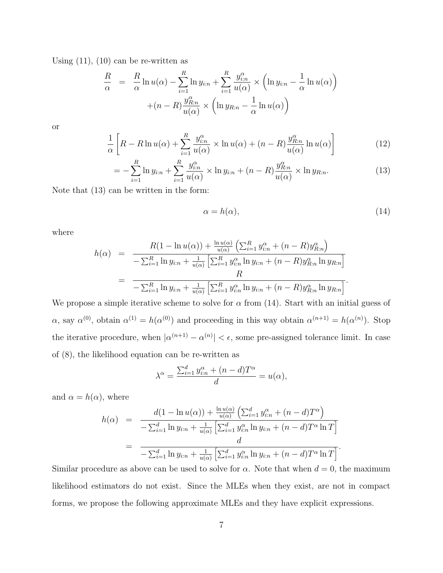Using  $(11)$ ,  $(10)$  can be re-written as

$$
\frac{R}{\alpha} = \frac{R}{\alpha} \ln u(\alpha) - \sum_{i=1}^{R} \ln y_{i:n} + \sum_{i=1}^{R} \frac{y_{i:n}^{\alpha}}{u(\alpha)} \times \left( \ln y_{i:n} - \frac{1}{\alpha} \ln u(\alpha) \right) + (n - R) \frac{y_{R:n}^{\alpha}}{u(\alpha)} \times \left( \ln y_{R:n} - \frac{1}{\alpha} \ln u(\alpha) \right)
$$

or

$$
\frac{1}{\alpha} \left[ R - R \ln u(\alpha) + \sum_{i=1}^{R} \frac{y_{i:n}^{\alpha}}{u(\alpha)} \times \ln u(\alpha) + (n - R) \frac{y_{R:n}^{\alpha}}{u(\alpha)} \ln u(\alpha) \right]
$$
(12)

$$
= -\sum_{i=1}^{R} \ln y_{i:n} + \sum_{i=1}^{R} \frac{y_{i:n}^{\alpha}}{u(\alpha)} \times \ln y_{i:n} + (n - R) \frac{y_{R:n}^{\alpha}}{u(\alpha)} \times \ln y_{R:n}.
$$
 (13)

Note that (13) can be written in the form:

$$
\alpha = h(\alpha),\tag{14}
$$

where

$$
h(\alpha) = \frac{R(1 - \ln u(\alpha)) + \frac{\ln u(\alpha)}{u(\alpha)} \left( \sum_{i=1}^{R} y_{i:n}^{\alpha} + (n - R) y_{R:n}^{\alpha} \right)}{-\sum_{i=1}^{R} \ln y_{i:n} + \frac{1}{u(\alpha)} \left[ \sum_{i=1}^{R} y_{i:n}^{\alpha} \ln y_{i:n} + (n - R) y_{R:n}^{\alpha} \ln y_{R:n} \right] \over R}
$$
  
= 
$$
\frac{R}{-\sum_{i=1}^{R} \ln y_{i:n} + \frac{1}{u(\alpha)} \left[ \sum_{i=1}^{R} y_{i:n}^{\alpha} \ln y_{i:n} + (n - R) y_{R:n}^{\alpha} \ln y_{R:n} \right]}.
$$

We propose a simple iterative scheme to solve for  $\alpha$  from (14). Start with an initial guess of  $\alpha$ , say  $\alpha^{(0)}$ , obtain  $\alpha^{(1)} = h(\alpha^{(0)})$  and proceeding in this way obtain  $\alpha^{(n+1)} = h(\alpha^{(n)})$ . Stop the iterative procedure, when  $|\alpha^{(n+1)} - \alpha^{(n)}| < \epsilon$ , some pre-assigned tolerance limit. In case of (8), the likelihood equation can be re-written as

$$
\lambda^{\alpha} = \frac{\sum_{i=1}^{d} y_{i:n}^{\alpha} + (n-d)T^{\alpha}}{d} = u(\alpha),
$$

and  $\alpha = h(\alpha)$ , where

$$
h(\alpha) = \frac{d(1 - \ln u(\alpha)) + \frac{\ln u(\alpha)}{u(\alpha)} (\sum_{i=1}^{d} y_{i:n}^{\alpha} + (n - d)T^{\alpha})}{-\sum_{i=1}^{d} \ln y_{i:n} + \frac{1}{u(\alpha)} [\sum_{i=1}^{d} y_{i:n}^{\alpha} \ln y_{i:n} + (n - d)T^{\alpha} \ln T]} \\
= \frac{d}{-\sum_{i=1}^{d} \ln y_{i:n} + \frac{1}{u(\alpha)} [\sum_{i=1}^{d} y_{i:n}^{\alpha} \ln y_{i:n} + (n - d)T^{\alpha} \ln T]}.
$$

Similar procedure as above can be used to solve for  $\alpha$ . Note that when  $d = 0$ , the maximum likelihood estimators do not exist. Since the MLEs when they exist, are not in compact forms, we propose the following approximate MLEs and they have explicit expressions.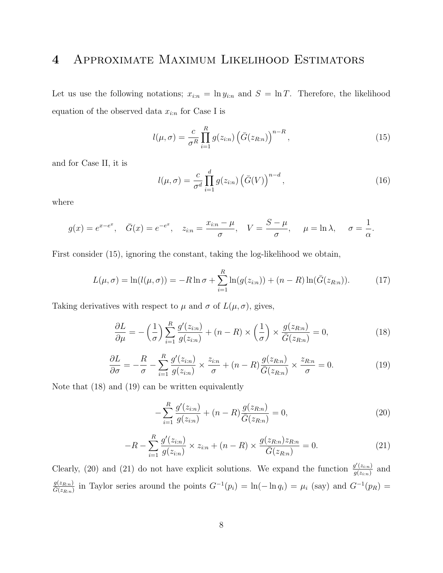### 4 Approximate Maximum Likelihood Estimators

Let us use the following notations;  $x_{i:n} = \ln y_{i:n}$  and  $S = \ln T$ . Therefore, the likelihood equation of the observed data  $x_{i:n}$  for Case I is

$$
l(\mu, \sigma) = \frac{c}{\sigma^R} \prod_{i=1}^R g(z_{i:n}) \left( \bar{G}(z_{R:n}) \right)^{n-R}, \qquad (15)
$$

and for Case II, it is

$$
l(\mu, \sigma) = \frac{c}{\sigma^d} \prod_{i=1}^d g(z_{i:n}) \left( \bar{G}(V) \right)^{n-d}, \qquad (16)
$$

where

$$
g(x) = e^{x - e^x}
$$
,  $\bar{G}(x) = e^{-e^x}$ ,  $z_{i:n} = \frac{x_{i:n} - \mu}{\sigma}$ ,  $V = \frac{S - \mu}{\sigma}$ ,  $\mu = \ln \lambda$ ,  $\sigma = \frac{1}{\alpha}$ .

First consider (15), ignoring the constant, taking the log-likelihood we obtain,

$$
L(\mu, \sigma) = \ln(l(\mu, \sigma)) = -R \ln \sigma + \sum_{i=1}^{R} \ln(g(z_{i:n})) + (n - R) \ln(\bar{G}(z_{R:n})).
$$
 (17)

Taking derivatives with respect to  $\mu$  and  $\sigma$  of  $L(\mu, \sigma)$ , gives,

$$
\frac{\partial L}{\partial \mu} = -\left(\frac{1}{\sigma}\right) \sum_{i=1}^{R} \frac{g'(z_{i:n})}{g(z_{i:n})} + (n - R) \times \left(\frac{1}{\sigma}\right) \times \frac{g(z_{R:n})}{\overline{G}(z_{R:n})} = 0,
$$
\n(18)

$$
\frac{\partial L}{\partial \sigma} = -\frac{R}{\sigma} - \sum_{i=1}^{R} \frac{g'(z_{i:n})}{g(z_{i:n})} \times \frac{z_{i:n}}{\sigma} + (n - R) \frac{g(z_{R:n})}{\overline{G}(z_{R:n})} \times \frac{z_{R:n}}{\sigma} = 0.
$$
 (19)

Note that (18) and (19) can be written equivalently

$$
-\sum_{i=1}^{R} \frac{g'(z_{i:n})}{g(z_{i:n})} + (n - R) \frac{g(z_{R:n})}{\bar{G}(z_{R:n})} = 0,
$$
\n(20)

$$
-R - \sum_{i=1}^{R} \frac{g'(z_{i:n})}{g(z_{i:n})} \times z_{i:n} + (n - R) \times \frac{g(z_{R:n}) z_{R:n}}{\bar{G}(z_{R:n})} = 0.
$$
 (21)

Clearly, (20) and (21) do not have explicit solutions. We expand the function  $\frac{g'(z_{i:n})}{g(z_{i:n})}$  $\frac{g(z_{i:n})}{g(z_{i:n})}$  and  $\frac{g(z_{R:n})}{G(z_{R:n})}$  in Taylor series around the points  $G^{-1}(p_i) = \ln(-\ln q_i) = \mu_i$  (say) and  $G^{-1}(p_R) =$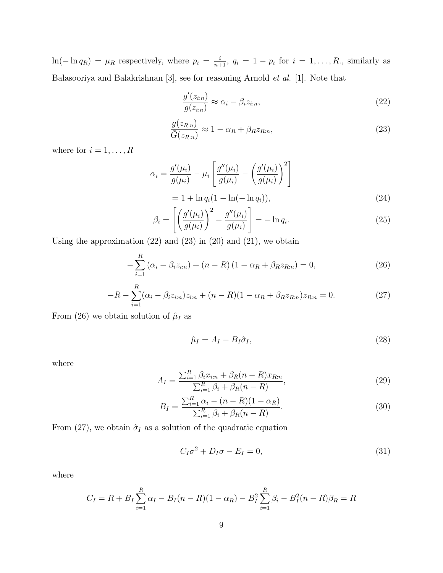$\ln(-\ln q_R) = \mu_R$  respectively, where  $p_i = \frac{i}{n+1}$ ,  $q_i = 1 - p_i$  for  $i = 1, ..., R$ ., similarly as Balasooriya and Balakrishnan [3], see for reasoning Arnold et al. [1]. Note that

$$
\frac{g'(z_{i:n})}{g(z_{i:n})} \approx \alpha_i - \beta_i z_{i:n},\tag{22}
$$

$$
\frac{g(z_{R:n})}{\bar{G}(z_{R:n})} \approx 1 - \alpha_R + \beta_R z_{R:n},\tag{23}
$$

where for  $i = 1, \ldots, R$ 

$$
\alpha_i = \frac{g'(\mu_i)}{g(\mu_i)} - \mu_i \left[ \frac{g''(\mu_i)}{g(\mu_i)} - \left( \frac{g'(\mu_i)}{g(\mu_i)} \right)^2 \right]
$$
  
= 1 + \ln q\_i (1 - \ln(-\ln q\_i)), (24)

$$
\beta_i = \left[ \left( \frac{g'(\mu_i)}{g(\mu_i)} \right)^2 - \frac{g''(\mu_i)}{g(\mu_i)} \right] = -\ln q_i.
$$
\n(25)

Using the approximation  $(22)$  and  $(23)$  in  $(20)$  and  $(21)$ , we obtain

$$
-\sum_{i=1}^{R} (\alpha_i - \beta_i z_{i:n}) + (n - R)(1 - \alpha_R + \beta_R z_{R:n}) = 0,
$$
\n(26)

$$
-R - \sum_{i=1}^{R} (\alpha_i - \beta_i z_{i:n}) z_{i:n} + (n - R)(1 - \alpha_R + \beta_R z_{R:n}) z_{R:n} = 0.
$$
 (27)

From (26) we obtain solution of  $\hat{\mu}_I$  as

$$
\hat{\mu}_I = A_I - B_I \hat{\sigma}_I,\tag{28}
$$

where

$$
A_{I} = \frac{\sum_{i=1}^{R} \beta_{i} x_{i:n} + \beta_{R} (n - R) x_{R:n}}{\sum_{i=1}^{R} \beta_{i} + \beta_{R} (n - R)},
$$
\n(29)

$$
B_{I} = \frac{\sum_{i=1}^{R} \alpha_{i} - (n - R)(1 - \alpha_{R})}{\sum_{i=1}^{R} \beta_{i} + \beta_{R}(n - R)}.
$$
\n(30)

From (27), we obtain  $\hat{\sigma}_I$  as a solution of the quadratic equation

$$
C_I \sigma^2 + D_I \sigma - E_I = 0,\t\t(31)
$$

where

$$
C_I = R + B_I \sum_{i=1}^{R} \alpha_I - B_I(n - R)(1 - \alpha_R) - B_I^2 \sum_{i=1}^{R} \beta_i - B_I^2(n - R)\beta_R = R
$$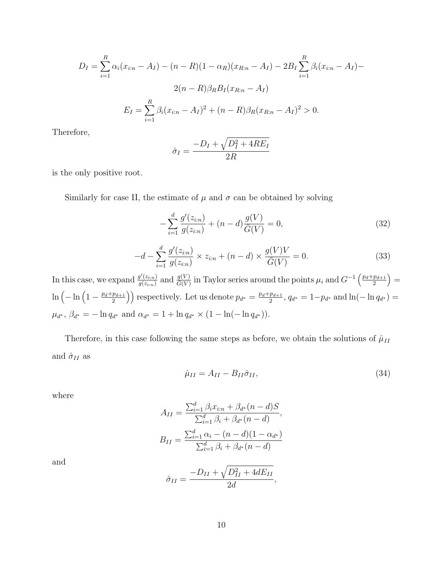$$
D_{I} = \sum_{i=1}^{R} \alpha_{i} (x_{i:n} - A_{I}) - (n - R)(1 - \alpha_{R})(x_{R:n} - A_{I}) - 2B_{I} \sum_{i=1}^{R} \beta_{i} (x_{i:n} - A_{I}) - 2(n - R)\beta_{R}B_{I}(x_{R:n} - A_{I})
$$

$$
E_{I} = \sum_{i=1}^{R} \beta_{i} (x_{i:n} - A_{I})^{2} + (n - R)\beta_{R}(x_{R:n} - A_{I})^{2} > 0.
$$

Therefore,

$$
\hat{\sigma}_I = \frac{-D_I + \sqrt{D_I^2 + 4RE_I}}{2R}
$$

is the only positive root.

Similarly for case II, the estimate of  $\mu$  and  $\sigma$  can be obtained by solving

$$
-\sum_{i=1}^{d} \frac{g'(z_{i:n})}{g(z_{i:n})} + (n-d)\frac{g(V)}{\bar{G}(V)} = 0,
$$
\n(32)

$$
-d - \sum_{i=1}^{d} \frac{g'(z_{i:n})}{g(z_{i:n})} \times z_{i:n} + (n - d) \times \frac{g(V)V}{\bar{G}(V)} = 0.
$$
 (33)

In this case, we expand  $\frac{g'(z_{i:n})}{g(z_{i:n})}$  $\frac{g'(z_{i:n})}{g(z_{i:n})}$  and  $\frac{g(V)}{G(V)}$  in Taylor series around the points  $\mu_i$  and  $G^{-1}\left(\frac{p_d+p_{d+1}}{2}\right)$  $\left(\frac{p_{d+1}}{2}\right)=$  $\ln \left( -\ln \left( 1 - \frac{p_d+p_{d+1}}{2} \right) \right)$  $\left(\frac{p_{d+1}}{2}\right)$  respectively. Let us denote  $p_{d^*} = \frac{p_d + p_{d+1}}{2}$  $\frac{p_{d+1}}{2}$ ,  $q_{d^*} = 1-p_{d^*}$  and  $\ln(-\ln q_{d^*}) =$  $\mu_{d^*}, \beta_{d^*} = -\ln q_{d^*}$  and  $\alpha_{d^*} = 1 + \ln q_{d^*} \times (1 - \ln(-\ln q_{d^*})).$ 

Therefore, in this case following the same steps as before, we obtain the solutions of  $\hat\mu_{II}$ and  $\hat{\sigma}_{II}$  as

$$
\hat{\mu}_{II} = A_{II} - B_{II}\hat{\sigma}_{II},\tag{34}
$$

,

where

$$
A_{II} = \frac{\sum_{i=1}^{d} \beta_i x_{i:n} + \beta_{d^*} (n - d)S}{\sum_{i=1}^{d} \beta_i + \beta_{d^*} (n - d)},
$$
  

$$
B_{II} = \frac{\sum_{i=1}^{d} \alpha_i - (n - d)(1 - \alpha_{d^*})}{\sum_{i=1}^{d} \beta_i + \beta_{d^*} (n - d)}
$$

and

$$
\hat{\sigma}_{II} = \frac{-D_{II} + \sqrt{D_{II}^2 + 4dE_{II}}}{2d}
$$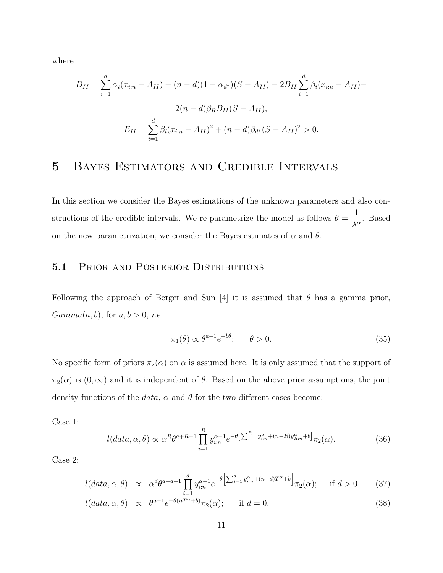where

$$
D_{II} = \sum_{i=1}^{d} \alpha_i (x_{i:n} - A_{II}) - (n - d)(1 - \alpha_{d^*})(S - A_{II}) - 2B_{II} \sum_{i=1}^{d} \beta_i (x_{i:n} - A_{II}) - 2(n - d)\beta_R B_{II}(S - A_{II}),
$$
  

$$
E_{II} = \sum_{i=1}^{d} \beta_i (x_{i:n} - A_{II})^2 + (n - d)\beta_{d^*}(S - A_{II})^2 > 0.
$$

### 5 Bayes Estimators and Credible Intervals

In this section we consider the Bayes estimations of the unknown parameters and also constructions of the credible intervals. We re-parametrize the model as follows  $\theta = \frac{1}{\sqrt{2}}$  $\frac{1}{\lambda^{\alpha}}$ . Based on the new parametrization, we consider the Bayes estimates of  $\alpha$  and  $\theta$ .

#### 5.1 PRIOR AND POSTERIOR DISTRIBUTIONS

Following the approach of Berger and Sun [4] it is assumed that  $\theta$  has a gamma prior,  $Gamma(a, b)$ , for  $a, b > 0$ , *i.e.* 

$$
\pi_1(\theta) \propto \theta^{a-1} e^{-b\theta}; \qquad \theta > 0. \tag{35}
$$

No specific form of priors  $\pi_2(\alpha)$  on  $\alpha$  is assumed here. It is only assumed that the support of  $\pi_2(\alpha)$  is  $(0,\infty)$  and it is independent of  $\theta$ . Based on the above prior assumptions, the joint density functions of the *data*,  $\alpha$  and  $\theta$  for the two different cases become;

Case 1:

$$
l(data, \alpha, \theta) \propto \alpha^R \theta^{a+R-1} \prod_{i=1}^R y_{i:n}^{\alpha-1} e^{-\theta \left[\sum_{i=1}^R y_{i:n}^{\alpha} + (n-R)y_{R:n}^{\alpha} + b\right]} \pi_2(\alpha).
$$
 (36)

Case 2:

$$
l(data, \alpha, \theta) \propto \alpha^d \theta^{a+d-1} \prod_{i=1}^d y_{i:n}^{\alpha-1} e^{-\theta \left[ \sum_{i=1}^d y_{i:n}^{\alpha} + (n-d)T^{\alpha} + b \right]} \pi_2(\alpha); \quad \text{if } d > 0 \tag{37}
$$

$$
l(data, \alpha, \theta) \propto \theta^{a-1} e^{-\theta(nT^{\alpha} + b)} \pi_2(\alpha); \quad \text{if } d = 0.
$$
 (38)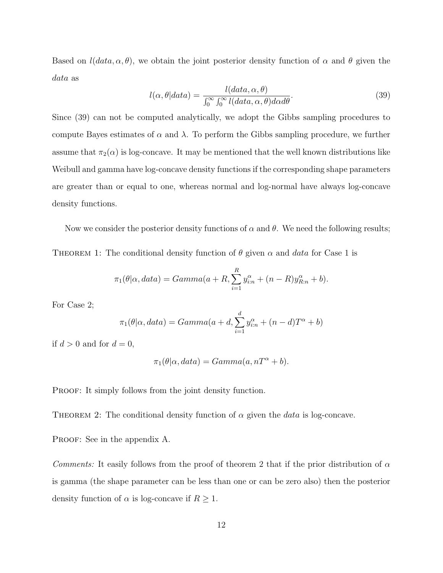Based on  $l(data, \alpha, \theta)$ , we obtain the joint posterior density function of  $\alpha$  and  $\theta$  given the data as

$$
l(\alpha, \theta|data) = \frac{l(data, \alpha, \theta)}{\int_0^\infty \int_0^\infty l(data, \alpha, \theta) d\alpha d\theta}.
$$
\n(39)

Since (39) can not be computed analytically, we adopt the Gibbs sampling procedures to compute Bayes estimates of  $\alpha$  and  $\lambda$ . To perform the Gibbs sampling procedure, we further assume that  $\pi_2(\alpha)$  is log-concave. It may be mentioned that the well known distributions like Weibull and gamma have log-concave density functions if the corresponding shape parameters are greater than or equal to one, whereas normal and log-normal have always log-concave density functions.

Now we consider the posterior density functions of  $\alpha$  and  $\theta$ . We need the following results;

THEOREM 1: The conditional density function of  $\theta$  given  $\alpha$  and data for Case 1 is

$$
\pi_1(\theta|\alpha, data) = Gamma(a + R, \sum_{i=1}^R y_{i:n}^{\alpha} + (n - R)y_{R:n}^{\alpha} + b).
$$

For Case 2;

$$
\pi_1(\theta|\alpha, data) = Gamma(a+d, \sum_{i=1}^d y_{i:n}^{\alpha} + (n-d)T^{\alpha} + b)
$$

if  $d > 0$  and for  $d = 0$ ,

$$
\pi_1(\theta|\alpha, data) = Gamma(a, nT^{\alpha} + b).
$$

PROOF: It simply follows from the joint density function.

THEOREM 2: The conditional density function of  $\alpha$  given the *data* is log-concave.

PROOF: See in the appendix A.

Comments: It easily follows from the proof of theorem 2 that if the prior distribution of  $\alpha$ is gamma (the shape parameter can be less than one or can be zero also) then the posterior density function of  $\alpha$  is log-concave if  $R \geq 1$ .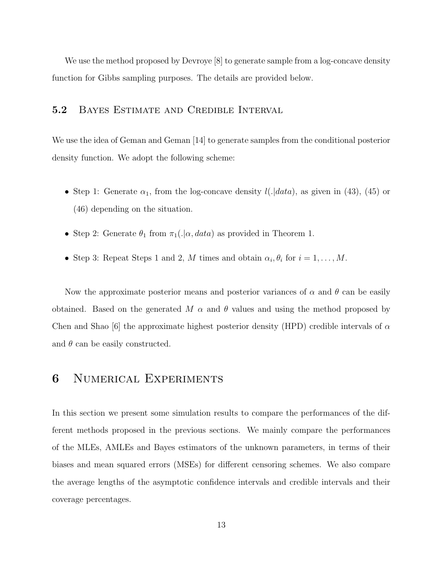We use the method proposed by Devroye [8] to generate sample from a log-concave density function for Gibbs sampling purposes. The details are provided below.

#### 5.2 Bayes Estimate and Credible Interval

We use the idea of Geman and Geman [14] to generate samples from the conditional posterior density function. We adopt the following scheme:

- Step 1: Generate  $\alpha_1$ , from the log-concave density  $l(.\vert data)$ , as given in (43), (45) or (46) depending on the situation.
- Step 2: Generate  $\theta_1$  from  $\pi_1(.|\alpha, data)$  as provided in Theorem 1.
- Step 3: Repeat Steps 1 and 2, M times and obtain  $\alpha_i, \theta_i$  for  $i = 1, ..., M$ .

Now the approximate posterior means and posterior variances of  $\alpha$  and  $\theta$  can be easily obtained. Based on the generated M  $\alpha$  and  $\theta$  values and using the method proposed by Chen and Shao [6] the approximate highest posterior density (HPD) credible intervals of  $\alpha$ and  $\theta$  can be easily constructed.

### 6 Numerical Experiments

In this section we present some simulation results to compare the performances of the different methods proposed in the previous sections. We mainly compare the performances of the MLEs, AMLEs and Bayes estimators of the unknown parameters, in terms of their biases and mean squared errors (MSEs) for different censoring schemes. We also compare the average lengths of the asymptotic confidence intervals and credible intervals and their coverage percentages.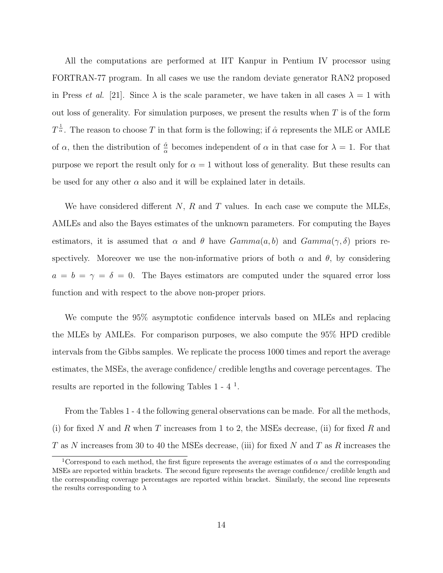All the computations are performed at IIT Kanpur in Pentium IV processor using FORTRAN-77 program. In all cases we use the random deviate generator RAN2 proposed in Press *et al.* [21]. Since  $\lambda$  is the scale parameter, we have taken in all cases  $\lambda = 1$  with out loss of generality. For simulation purposes, we present the results when  $T$  is of the form  $T^{\frac{1}{\alpha}}$ . The reason to choose T in that form is the following; if  $\hat{\alpha}$  represents the MLE or AMLE of  $\alpha$ , then the distribution of  $\frac{\hat{\alpha}}{\alpha}$  becomes independent of  $\alpha$  in that case for  $\lambda = 1$ . For that purpose we report the result only for  $\alpha = 1$  without loss of generality. But these results can be used for any other  $\alpha$  also and it will be explained later in details.

We have considered different  $N$ ,  $R$  and  $T$  values. In each case we compute the MLEs, AMLEs and also the Bayes estimates of the unknown parameters. For computing the Bayes estimators, it is assumed that  $\alpha$  and  $\theta$  have  $Gamma(a, b)$  and  $Gamma(\gamma, \delta)$  priors respectively. Moreover we use the non-informative priors of both  $\alpha$  and  $\theta$ , by considering  $a = b = \gamma = \delta = 0$ . The Bayes estimators are computed under the squared error loss function and with respect to the above non-proper priors.

We compute the 95% asymptotic confidence intervals based on MLEs and replacing the MLEs by AMLEs. For comparison purposes, we also compute the 95% HPD credible intervals from the Gibbs samples. We replicate the process 1000 times and report the average estimates, the MSEs, the average confidence/ credible lengths and coverage percentages. The results are reported in the following Tables  $1 - 4$ <sup>1</sup>.

From the Tables 1 - 4 the following general observations can be made. For all the methods, (i) for fixed N and R when T increases from 1 to 2, the MSEs decrease, (ii) for fixed R and T as N increases from 30 to 40 the MSEs decrease, (iii) for fixed N and T as R increases the

<sup>&</sup>lt;sup>1</sup>Correspond to each method, the first figure represents the average estimates of  $\alpha$  and the corresponding MSEs are reported within brackets. The second figure represents the average confidence/ credible length and the corresponding coverage percentages are reported within bracket. Similarly, the second line represents the results corresponding to  $\lambda$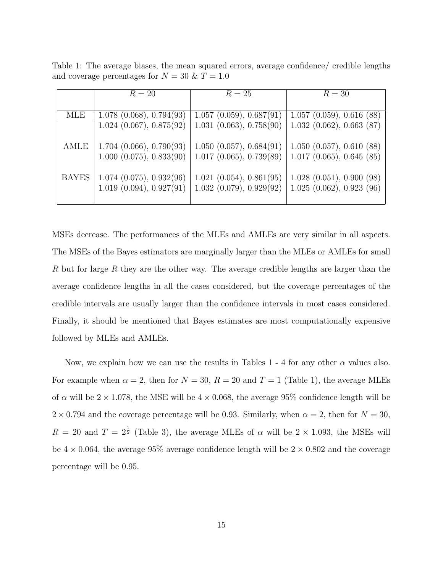Table 1: The average biases, the mean squared errors, average confidence/ credible lengths and coverage percentages for  $N = 30$  &  $T = 1.0$ 

|              | $R=20$                          | $R=25$                          | $R=30$                                 |
|--------------|---------------------------------|---------------------------------|----------------------------------------|
|              |                                 |                                 |                                        |
| MLE          | $1.078$ $(0.068)$ , $0.794(93)$ | 1.057(0.059), 0.687(91)         | $\overline{1.057}$ (0.059), 0.616 (88) |
|              | $1.024$ (0.067), 0.875(92)      | $1.031$ $(0.063)$ , $0.758(90)$ | 1.032(0.062), 0.663(87)                |
| AMLE         | 1.704 (0.066), 0.790(93)        | 1.050(0.057), 0.684(91)         | $1.050$ $(0.057)$ , $0.610$ $(88)$     |
|              | 1.000(0.075), 0.833(90)         | 1.017(0.065), 0.739(89)         | 1.017(0.065), 0.645(85)                |
| <b>BAYES</b> | 1.074(0.075), 0.932(96)         | 1.021(0.054), 0.861(95)         | 1.028(0.051), 0.900(98)                |
|              | 1.019(0.094), 0.927(91)         | 1.032(0.079), 0.929(92)         | 1.025(0.062), 0.923(96)                |
|              |                                 |                                 |                                        |

MSEs decrease. The performances of the MLEs and AMLEs are very similar in all aspects. The MSEs of the Bayes estimators are marginally larger than the MLEs or AMLEs for small R but for large R they are the other way. The average credible lengths are larger than the average confidence lengths in all the cases considered, but the coverage percentages of the credible intervals are usually larger than the confidence intervals in most cases considered. Finally, it should be mentioned that Bayes estimates are most computationally expensive followed by MLEs and AMLEs.

Now, we explain how we can use the results in Tables 1 - 4 for any other  $\alpha$  values also. For example when  $\alpha = 2$ , then for  $N = 30$ ,  $R = 20$  and  $T = 1$  (Table 1), the average MLEs of  $\alpha$  will be  $2 \times 1.078$ , the MSE will be  $4 \times 0.068$ , the average 95% confidence length will be  $2 \times 0.794$  and the coverage percentage will be 0.93. Similarly, when  $\alpha = 2$ , then for  $N = 30$ ,  $R = 20$  and  $T = 2^{\frac{1}{2}}$  (Table 3), the average MLEs of  $\alpha$  will be  $2 \times 1.093$ , the MSEs will be  $4 \times 0.064$ , the average 95% average confidence length will be  $2 \times 0.802$  and the coverage percentage will be 0.95.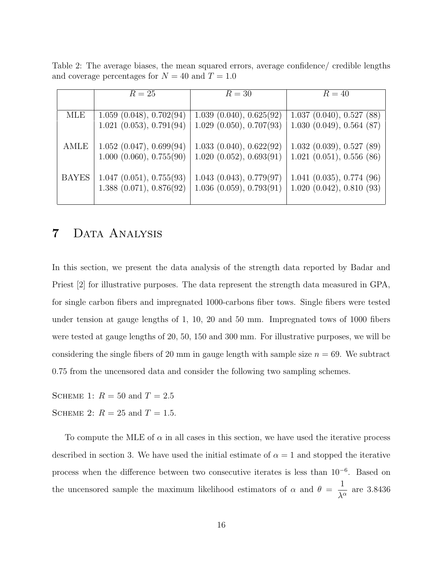Table 2: The average biases, the mean squared errors, average confidence/ credible lengths and coverage percentages for  $N = 40$  and  $T = 1.0$ 

|              | $R=25$                     | $R=30$                                | $R=40$                             |
|--------------|----------------------------|---------------------------------------|------------------------------------|
|              |                            |                                       |                                    |
| <b>MLE</b>   | 1.059(0.048), 0.702(94)    | $\overline{1.039}$ (0.040), 0.625(92) | 1.037(0.040), 0.527(88)            |
|              | $1.021$ (0.053), 0.791(94) | $1.029$ $(0.050)$ , $0.707(93)$       | 1.030(0.049), 0.564(87)            |
| AMLE         | 1.052(0.047), 0.699(94)    | 1.033(0.040), 0.622(92)               | $1.032$ $(0.039)$ , $0.527$ $(89)$ |
|              | 1.000(0.060), 0.755(90)    | 1.020(0.052), 0.693(91)               | $1.021$ $(0.051)$ , $0.556$ $(86)$ |
| <b>BAYES</b> | 1.047(0.051), 0.755(93)    | $1.043$ $(0.043)$ , $0.779(97)$       | $1.041$ $(0.035)$ , $0.774$ $(96)$ |
|              | 1.388(0.071), 0.876(92)    | 1.036(0.059), 0.793(91)               | 1.020(0.042), 0.810(93)            |

## 7 Data Analysis

In this section, we present the data analysis of the strength data reported by Badar and Priest [2] for illustrative purposes. The data represent the strength data measured in GPA, for single carbon fibers and impregnated 1000-carbons fiber tows. Single fibers were tested under tension at gauge lengths of 1, 10, 20 and 50 mm. Impregnated tows of 1000 fibers were tested at gauge lengths of 20, 50, 150 and 300 mm. For illustrative purposes, we will be considering the single fibers of 20 mm in gauge length with sample size  $n = 69$ . We subtract 0.75 from the uncensored data and consider the following two sampling schemes.

SCHEME 1:  $R = 50$  and  $T = 2.5$ SCHEME 2:  $R = 25$  and  $T = 1.5$ .

To compute the MLE of  $\alpha$  in all cases in this section, we have used the iterative process described in section 3. We have used the initial estimate of  $\alpha = 1$  and stopped the iterative process when the difference between two consecutive iterates is less than 10<sup>-6</sup>. Based on the uncensored sample the maximum likelihood estimators of  $\alpha$  and  $\theta = \frac{1}{\Delta \alpha}$  $\frac{1}{\lambda^{\alpha}}$  are 3.8436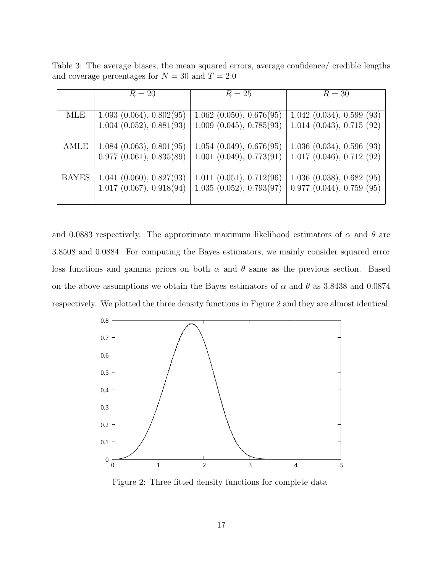Table 3: The average biases, the mean squared errors, average confidence/ credible lengths and coverage percentages for  $N = 30$  and  $T = 2.0$ 

|              | $R=20$                          | $R=25$                          | $R=30$                             |
|--------------|---------------------------------|---------------------------------|------------------------------------|
|              |                                 |                                 |                                    |
| <b>MLE</b>   | 1.093(0.064), 0.802(95)         | $1.062$ $(0.050)$ , $0.676(95)$ | 1.042(0.034), 0.599(93)            |
|              | $1.004$ $(0.052)$ , $0.881(93)$ | 1.009(0.045), 0.785(93)         | $1.014$ $(0.043)$ , $0.715$ $(92)$ |
| AMLE         | 1.084(0.063), 0.801(95)         | 1.054(0.049), 0.676(95)         | 1.036(0.034), 0.596(93)            |
|              | 0.977(0.061), 0.835(89)         | $1.001$ $(0.049)$ , $0.773(91)$ | $1.017$ $(0.046)$ , $0.712$ $(92)$ |
| <b>BAYES</b> | 1.041(0.060), 0.827(93)         | 1.011(0.051), 0.712(96)         | $1.036$ $(0.038)$ , $0.682$ $(95)$ |
|              | $1.017$ $(0.067)$ , $0.918(94)$ | 1.035(0.052), 0.793(97)         | 0.977(0.044), 0.759(95)            |

and 0.0883 respectively. The approximate maximum likelihood estimators of  $\alpha$  and  $\theta$  are 3.8508 and 0.0884. For computing the Bayes estimators, we mainly consider squared error loss functions and gamma priors on both  $\alpha$  and  $\theta$  same as the previous section. Based on the above assumptions we obtain the Bayes estimators of  $\alpha$  and  $\theta$  as 3.8438 and 0.0874 respectively. We plotted the three density functions in Figure 2 and they are almost identical.



Figure 2: Three fitted density functions for complete data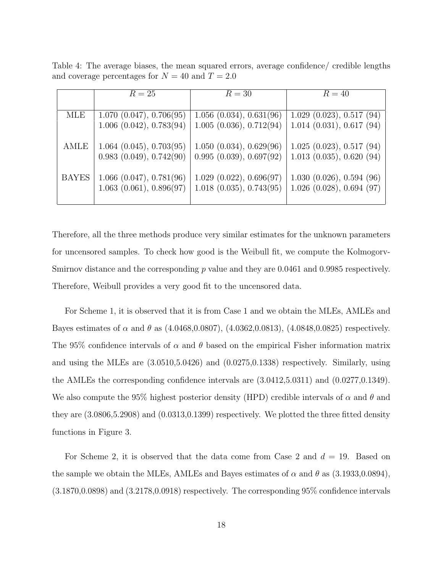Table 4: The average biases, the mean squared errors, average confidence/ credible lengths and coverage percentages for  $N = 40$  and  $T = 2.0$ 

|              | $R=25$                  | $R=30$                          | $R=40$                             |
|--------------|-------------------------|---------------------------------|------------------------------------|
|              |                         |                                 |                                    |
| MLE          | 1.070(0.047), 0.706(95) | 1.056(0.034), 0.631(96)         | 1.029(0.023), 0.517(94)            |
|              | 1.006(0.042), 0.783(94) | 1.005(0.036), 0.712(94)         | $1.014$ $(0.031)$ , $0.617$ $(94)$ |
| AMLE         | 1.064(0.045), 0.703(95) | 1.050(0.034), 0.629(96)         | $1.025$ $(0.023)$ , $0.517$ $(94)$ |
|              | 0.983(0.049), 0.742(90) | 0.995(0.039), 0.697(92)         | $1.013$ $(0.035)$ , $0.620$ $(94)$ |
| <b>BAYES</b> | 1.066(0.047), 0.781(96) | 1.029(0.022), 0.696(97)         | 1.030(0.026), 0.594(96)            |
|              | 1.063(0.061), 0.896(97) | $1.018$ $(0.035)$ , $0.743(95)$ | $1.026$ $(0.028)$ , $0.694$ $(97)$ |
|              |                         |                                 |                                    |

Therefore, all the three methods produce very similar estimates for the unknown parameters for uncensored samples. To check how good is the Weibull fit, we compute the Kolmogorv-Smirnov distance and the corresponding  $p$  value and they are 0.0461 and 0.9985 respectively. Therefore, Weibull provides a very good fit to the uncensored data.

For Scheme 1, it is observed that it is from Case 1 and we obtain the MLEs, AMLEs and Bayes estimates of  $\alpha$  and  $\theta$  as (4.0468,0.0807), (4.0362,0.0813), (4.0848,0.0825) respectively. The 95% confidence intervals of  $\alpha$  and  $\theta$  based on the empirical Fisher information matrix and using the MLEs are (3.0510,5.0426) and (0.0275,0.1338) respectively. Similarly, using the AMLEs the corresponding confidence intervals are (3.0412,5.0311) and (0.0277,0.1349). We also compute the 95% highest posterior density (HPD) credible intervals of  $\alpha$  and  $\theta$  and they are (3.0806,5.2908) and (0.0313,0.1399) respectively. We plotted the three fitted density functions in Figure 3.

For Scheme 2, it is observed that the data come from Case 2 and  $d = 19$ . Based on the sample we obtain the MLEs, AMLEs and Bayes estimates of  $\alpha$  and  $\theta$  as (3.1933,0.0894), (3.1870,0.0898) and (3.2178,0.0918) respectively. The corresponding 95% confidence intervals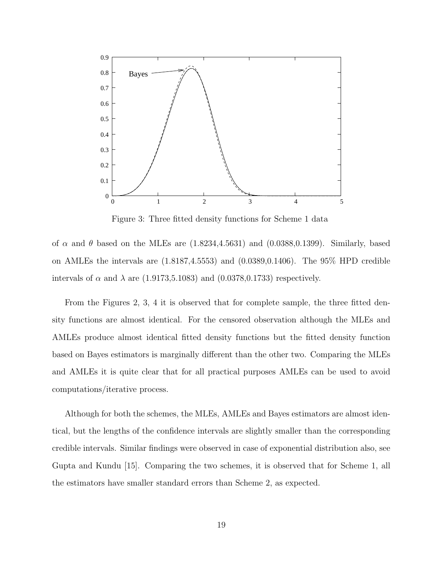

Figure 3: Three fitted density functions for Scheme 1 data

of  $\alpha$  and  $\theta$  based on the MLEs are  $(1.8234, 4.5631)$  and  $(0.0388, 0.1399)$ . Similarly, based on AMLEs the intervals are (1.8187,4.5553) and (0.0389,0.1406). The 95% HPD credible intervals of  $\alpha$  and  $\lambda$  are (1.9173,5.1083) and (0.0378,0.1733) respectively.

From the Figures 2, 3, 4 it is observed that for complete sample, the three fitted density functions are almost identical. For the censored observation although the MLEs and AMLEs produce almost identical fitted density functions but the fitted density function based on Bayes estimators is marginally different than the other two. Comparing the MLEs and AMLEs it is quite clear that for all practical purposes AMLEs can be used to avoid computations/iterative process.

Although for both the schemes, the MLEs, AMLEs and Bayes estimators are almost identical, but the lengths of the confidence intervals are slightly smaller than the corresponding credible intervals. Similar findings were observed in case of exponential distribution also, see Gupta and Kundu [15]. Comparing the two schemes, it is observed that for Scheme 1, all the estimators have smaller standard errors than Scheme 2, as expected.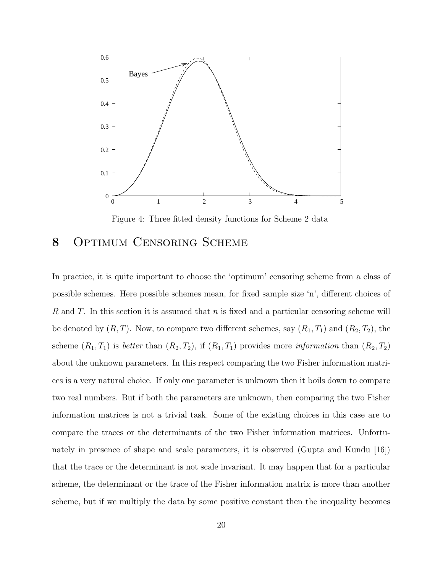

Figure 4: Three fitted density functions for Scheme 2 data

#### 8 Optimum Censoring Scheme

In practice, it is quite important to choose the 'optimum' censoring scheme from a class of possible schemes. Here possible schemes mean, for fixed sample size 'n', different choices of R and T. In this section it is assumed that n is fixed and a particular censoring scheme will be denoted by  $(R, T)$ . Now, to compare two different schemes, say  $(R_1, T_1)$  and  $(R_2, T_2)$ , the scheme  $(R_1, T_1)$  is *better* than  $(R_2, T_2)$ , if  $(R_1, T_1)$  provides more *information* than  $(R_2, T_2)$ about the unknown parameters. In this respect comparing the two Fisher information matrices is a very natural choice. If only one parameter is unknown then it boils down to compare two real numbers. But if both the parameters are unknown, then comparing the two Fisher information matrices is not a trivial task. Some of the existing choices in this case are to compare the traces or the determinants of the two Fisher information matrices. Unfortunately in presence of shape and scale parameters, it is observed (Gupta and Kundu [16]) that the trace or the determinant is not scale invariant. It may happen that for a particular scheme, the determinant or the trace of the Fisher information matrix is more than another scheme, but if we multiply the data by some positive constant then the inequality becomes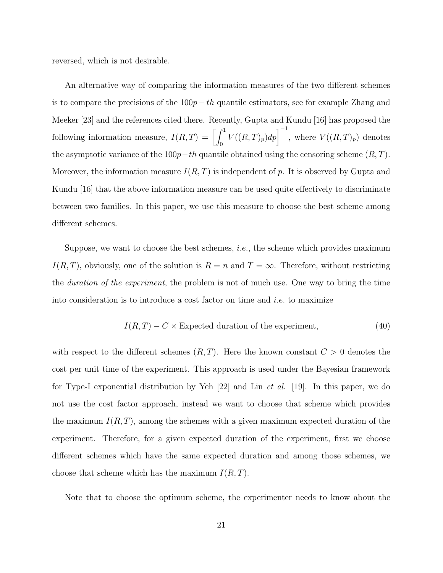reversed, which is not desirable.

An alternative way of comparing the information measures of the two different schemes is to compare the precisions of the  $100p-th$  quantile estimators, see for example Zhang and Meeker [23] and the references cited there. Recently, Gupta and Kundu [16] has proposed the following information measure,  $I(R,T) = \left[\int_0^1$  $\int_0^1 V((R,T)_p) dp \bigg]^{-1}$ , where  $V((R,T)_p)$  denotes the asymptotic variance of the  $100p-th$  quantile obtained using the censoring scheme  $(R, T)$ . Moreover, the information measure  $I(R, T)$  is independent of p. It is observed by Gupta and Kundu [16] that the above information measure can be used quite effectively to discriminate between two families. In this paper, we use this measure to choose the best scheme among different schemes.

Suppose, we want to choose the best schemes, i.e., the scheme which provides maximum  $I(R, T)$ , obviously, one of the solution is  $R = n$  and  $T = \infty$ . Therefore, without restricting the duration of the experiment, the problem is not of much use. One way to bring the time into consideration is to introduce a cost factor on time and *i.e.* to maximize

$$
I(R,T) - C \times Expected duration of the experiment,
$$
\n(40)

with respect to the different schemes  $(R, T)$ . Here the known constant  $C > 0$  denotes the cost per unit time of the experiment. This approach is used under the Bayesian framework for Type-I exponential distribution by Yeh [22] and Lin et al. [19]. In this paper, we do not use the cost factor approach, instead we want to choose that scheme which provides the maximum  $I(R, T)$ , among the schemes with a given maximum expected duration of the experiment. Therefore, for a given expected duration of the experiment, first we choose different schemes which have the same expected duration and among those schemes, we choose that scheme which has the maximum  $I(R, T)$ .

Note that to choose the optimum scheme, the experimenter needs to know about the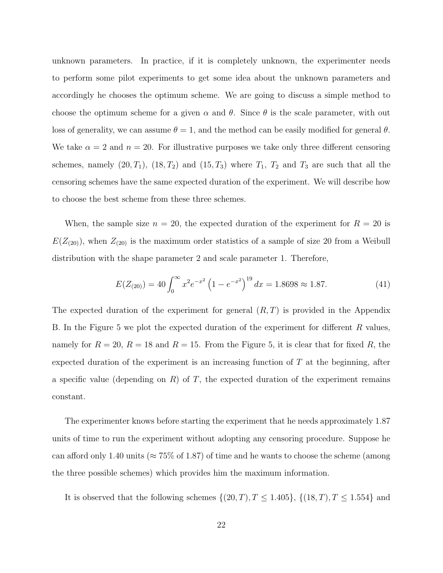unknown parameters. In practice, if it is completely unknown, the experimenter needs to perform some pilot experiments to get some idea about the unknown parameters and accordingly he chooses the optimum scheme. We are going to discuss a simple method to choose the optimum scheme for a given  $\alpha$  and  $\theta$ . Since  $\theta$  is the scale parameter, with out loss of generality, we can assume  $\theta = 1$ , and the method can be easily modified for general  $\theta$ . We take  $\alpha = 2$  and  $n = 20$ . For illustrative purposes we take only three different censoring schemes, namely  $(20, T_1)$ ,  $(18, T_2)$  and  $(15, T_3)$  where  $T_1$ ,  $T_2$  and  $T_3$  are such that all the censoring schemes have the same expected duration of the experiment. We will describe how to choose the best scheme from these three schemes.

When, the sample size  $n = 20$ , the expected duration of the experiment for  $R = 20$  is  $E(Z_{(20)})$ , when  $Z_{(20)}$  is the maximum order statistics of a sample of size 20 from a Weibull distribution with the shape parameter 2 and scale parameter 1. Therefore,

$$
E(Z_{(20)}) = 40 \int_0^\infty x^2 e^{-x^2} \left(1 - e^{-x^2}\right)^{19} dx = 1.8698 \approx 1.87. \tag{41}
$$

The expected duration of the experiment for general  $(R, T)$  is provided in the Appendix B. In the Figure 5 we plot the expected duration of the experiment for different R values, namely for  $R = 20$ ,  $R = 18$  and  $R = 15$ . From the Figure 5, it is clear that for fixed R, the expected duration of the experiment is an increasing function of  $T$  at the beginning, after a specific value (depending on  $R$ ) of  $T$ , the expected duration of the experiment remains constant.

The experimenter knows before starting the experiment that he needs approximately 1.87 units of time to run the experiment without adopting any censoring procedure. Suppose he can afford only 1.40 units ( $\approx 75\%$  of 1.87) of time and he wants to choose the scheme (among the three possible schemes) which provides him the maximum information.

It is observed that the following schemes  $\{(20, T), T \leq 1.405\}, \{(18, T), T \leq 1.554\}$  and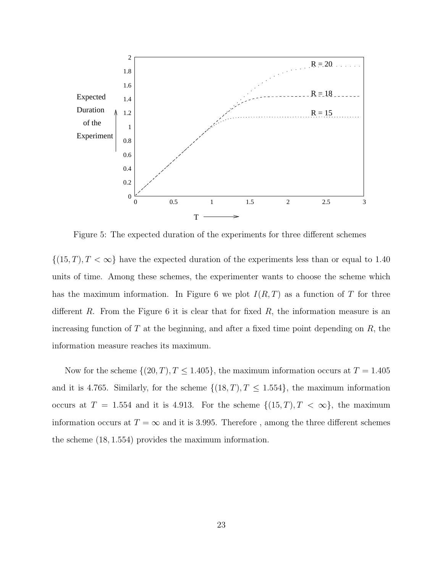

Figure 5: The expected duration of the experiments for three different schemes

 $\{(15, T), T < \infty\}$  have the expected duration of the experiments less than or equal to 1.40 units of time. Among these schemes, the experimenter wants to choose the scheme which has the maximum information. In Figure 6 we plot  $I(R,T)$  as a function of T for three different R. From the Figure 6 it is clear that for fixed  $R$ , the information measure is an increasing function of  $T$  at the beginning, and after a fixed time point depending on  $R$ , the information measure reaches its maximum.

Now for the scheme  $\{(20, T), T \leq 1.405\}$ , the maximum information occurs at  $T = 1.405$ and it is 4.765. Similarly, for the scheme  $\{(18, T), T \leq 1.554\}$ , the maximum information occurs at  $T = 1.554$  and it is 4.913. For the scheme  $\{(15, T), T < \infty\}$ , the maximum information occurs at  $T = \infty$  and it is 3.995. Therefore, among the three different schemes the scheme (18, 1.554) provides the maximum information.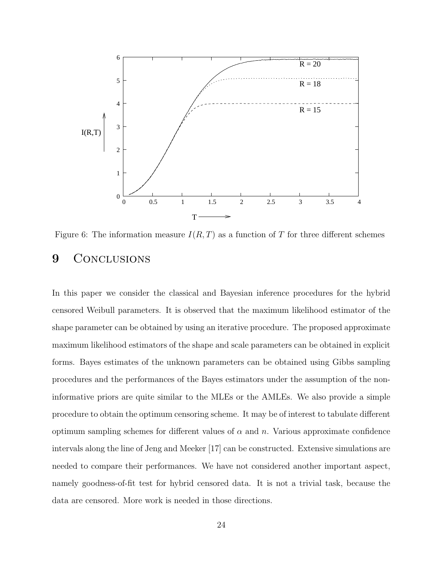

Figure 6: The information measure  $I(R, T)$  as a function of T for three different schemes

#### 9 CONCLUSIONS

In this paper we consider the classical and Bayesian inference procedures for the hybrid censored Weibull parameters. It is observed that the maximum likelihood estimator of the shape parameter can be obtained by using an iterative procedure. The proposed approximate maximum likelihood estimators of the shape and scale parameters can be obtained in explicit forms. Bayes estimates of the unknown parameters can be obtained using Gibbs sampling procedures and the performances of the Bayes estimators under the assumption of the noninformative priors are quite similar to the MLEs or the AMLEs. We also provide a simple procedure to obtain the optimum censoring scheme. It may be of interest to tabulate different optimum sampling schemes for different values of  $\alpha$  and n. Various approximate confidence intervals along the line of Jeng and Meeker [17] can be constructed. Extensive simulations are needed to compare their performances. We have not considered another important aspect, namely goodness-of-fit test for hybrid censored data. It is not a trivial task, because the data are censored. More work is needed in those directions.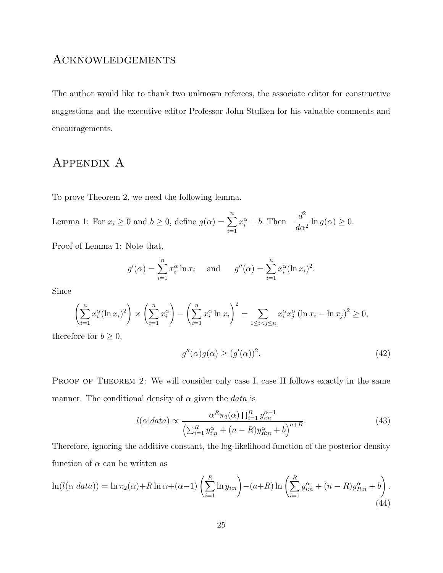### Acknowledgements

The author would like to thank two unknown referees, the associate editor for constructive suggestions and the executive editor Professor John Stufken for his valuable comments and encouragements.

### Appendix A

To prove Theorem 2, we need the following lemma.

Lemma 1: For 
$$
x_i \ge 0
$$
 and  $b \ge 0$ , define  $g(\alpha) = \sum_{i=1}^n x_i^{\alpha} + b$ . Then  $\frac{d^2}{d\alpha^2} \ln g(\alpha) \ge 0$ .

Proof of Lemma 1: Note that,

$$
g'(\alpha) = \sum_{i=1}^{n} x_i^{\alpha} \ln x_i
$$
 and  $g''(\alpha) = \sum_{i=1}^{n} x_i^{\alpha} (\ln x_i)^2$ .

Since

$$
\left(\sum_{i=1}^{n} x_i^{\alpha} (\ln x_i)^2\right) \times \left(\sum_{i=1}^{n} x_i^{\alpha}\right) - \left(\sum_{i=1}^{n} x_i^{\alpha} \ln x_i\right)^2 = \sum_{1 \le i < j \le n} x_i^{\alpha} x_j^{\alpha} (\ln x_i - \ln x_j)^2 \ge 0,
$$

therefore for  $b \geq 0$ ,

$$
g''(\alpha)g(\alpha) \ge (g'(\alpha))^2. \tag{42}
$$

PROOF OF THEOREM 2: We will consider only case I, case II follows exactly in the same manner. The conditional density of  $\alpha$  given the *data* is

$$
l(\alpha|data) \propto \frac{\alpha^R \pi_2(\alpha) \prod_{i=1}^R y_{i:n}^{\alpha-1}}{\left(\sum_{i=1}^R y_{i:n}^{\alpha} + (n-R)y_{R:n}^{\alpha} + b\right)^{a+R}}.
$$
\n(43)

Therefore, ignoring the additive constant, the log-likelihood function of the posterior density function of  $\alpha$  can be written as

$$
\ln(l(\alpha|data)) = \ln \pi_2(\alpha) + R \ln \alpha + (\alpha - 1) \left(\sum_{i=1}^R \ln y_{i:n}\right) - (a + R) \ln \left(\sum_{i=1}^R y_{i:n}^\alpha + (n - R) y_{R:n}^\alpha + b\right).
$$
\n(44)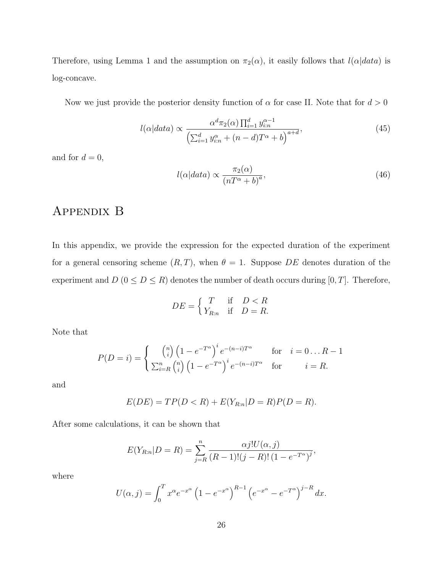Therefore, using Lemma 1 and the assumption on  $\pi_2(\alpha)$ , it easily follows that  $l(\alpha|data)$  is log-concave.

Now we just provide the posterior density function of  $\alpha$  for case II. Note that for  $d > 0$ 

$$
l(\alpha|data) \propto \frac{\alpha^d \pi_2(\alpha) \prod_{i=1}^d y_{i:n}^{\alpha-1}}{\left(\sum_{i=1}^d y_{i:n}^{\alpha} + (n-d)T^{\alpha} + b\right)^{a+d}},\tag{45}
$$

and for  $d = 0$ ,

$$
l(\alpha|data) \propto \frac{\pi_2(\alpha)}{\left(nT^{\alpha} + b\right)^a},\tag{46}
$$

### Appendix B

In this appendix, we provide the expression for the expected duration of the experiment for a general censoring scheme  $(R, T)$ , when  $\theta = 1$ . Suppose DE denotes duration of the experiment and  $D$  ( $0 \le D \le R$ ) denotes the number of death occurs during [0, T]. Therefore,

$$
DE = \begin{cases} T & \text{if } D < R \\ Y_{R:n} & \text{if } D = R. \end{cases}
$$

Note that

$$
P(D = i) = \begin{cases} {n \choose i} \left(1 - e^{-T^{\alpha}}\right)^{i} e^{-(n-i)T^{\alpha}} & \text{for} \quad i = 0 \dots R - 1 \\ \sum_{i=R}^{n} {n \choose i} \left(1 - e^{-T^{\alpha}}\right)^{i} e^{-(n-i)T^{\alpha}} & \text{for} \quad i = R. \end{cases}
$$

and

$$
E(DE) = TP(D < R) + E(Y_{R:n}|D = R)P(D = R).
$$

After some calculations, it can be shown that

$$
E(Y_{R:n}|D = R) = \sum_{j=R}^{n} \frac{\alpha j! U(\alpha, j)}{(R-1)!(j-R)!(1 - e^{-T^{\alpha}})^{j}},
$$

where

$$
U(\alpha, j) = \int_0^T x^{\alpha} e^{-x^{\alpha}} \left(1 - e^{-x^{\alpha}}\right)^{R-1} \left(e^{-x^{\alpha}} - e^{-T^{\alpha}}\right)^{j-R} dx.
$$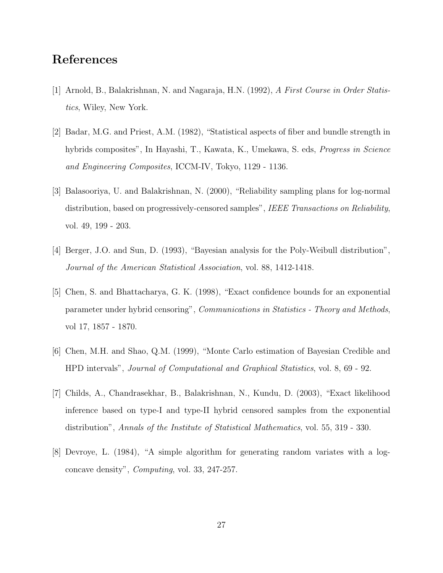### References

- [1] Arnold, B., Balakrishnan, N. and Nagaraja, H.N. (1992), A First Course in Order Statistics, Wiley, New York.
- [2] Badar, M.G. and Priest, A.M. (1982), "Statistical aspects of fiber and bundle strength in hybrids composites", In Hayashi, T., Kawata, K., Umekawa, S. eds, *Progress in Science* and Engineering Composites, ICCM-IV, Tokyo, 1129 - 1136.
- [3] Balasooriya, U. and Balakrishnan, N. (2000), "Reliability sampling plans for log-normal distribution, based on progressively-censored samples", IEEE Transactions on Reliability, vol. 49, 199 - 203.
- [4] Berger, J.O. and Sun, D. (1993), "Bayesian analysis for the Poly-Weibull distribution", Journal of the American Statistical Association, vol. 88, 1412-1418.
- [5] Chen, S. and Bhattacharya, G. K. (1998), "Exact confidence bounds for an exponential parameter under hybrid censoring", Communications in Statistics - Theory and Methods, vol 17, 1857 - 1870.
- [6] Chen, M.H. and Shao, Q.M. (1999), "Monte Carlo estimation of Bayesian Credible and HPD intervals", Journal of Computational and Graphical Statistics, vol. 8, 69 - 92.
- [7] Childs, A., Chandrasekhar, B., Balakrishnan, N., Kundu, D. (2003), "Exact likelihood inference based on type-I and type-II hybrid censored samples from the exponential distribution", Annals of the Institute of Statistical Mathematics, vol. 55, 319 - 330.
- [8] Devroye, L. (1984), "A simple algorithm for generating random variates with a logconcave density", Computing, vol. 33, 247-257.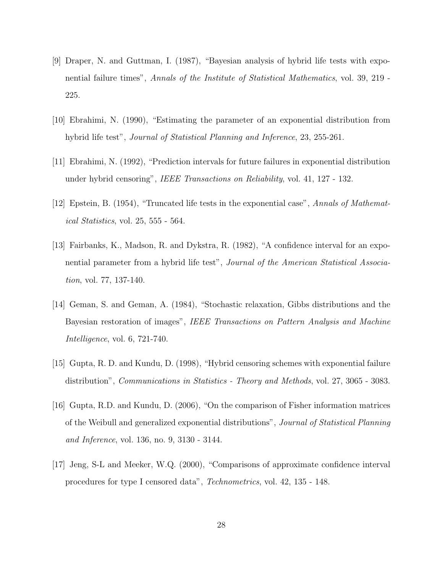- [9] Draper, N. and Guttman, I. (1987), "Bayesian analysis of hybrid life tests with exponential failure times", Annals of the Institute of Statistical Mathematics, vol. 39, 219 - 225.
- [10] Ebrahimi, N. (1990), "Estimating the parameter of an exponential distribution from hybrid life test", Journal of Statistical Planning and Inference, 23, 255-261.
- [11] Ebrahimi, N. (1992), "Prediction intervals for future failures in exponential distribution under hybrid censoring", IEEE Transactions on Reliability, vol. 41, 127 - 132.
- [12] Epstein, B. (1954), "Truncated life tests in the exponential case", Annals of Mathematical Statistics, vol. 25, 555 - 564.
- [13] Fairbanks, K., Madson, R. and Dykstra, R. (1982), "A confidence interval for an exponential parameter from a hybrid life test", Journal of the American Statistical Association, vol. 77, 137-140.
- [14] Geman, S. and Geman, A. (1984), "Stochastic relaxation, Gibbs distributions and the Bayesian restoration of images", IEEE Transactions on Pattern Analysis and Machine Intelligence, vol. 6, 721-740.
- [15] Gupta, R. D. and Kundu, D. (1998), "Hybrid censoring schemes with exponential failure distribution", *Communications in Statistics - Theory and Methods*, vol. 27, 3065 - 3083.
- [16] Gupta, R.D. and Kundu, D. (2006), "On the comparison of Fisher information matrices of the Weibull and generalized exponential distributions", Journal of Statistical Planning and Inference, vol. 136, no. 9, 3130 - 3144.
- [17] Jeng, S-L and Meeker, W.Q. (2000), "Comparisons of approximate confidence interval procedures for type I censored data", Technometrics, vol. 42, 135 - 148.